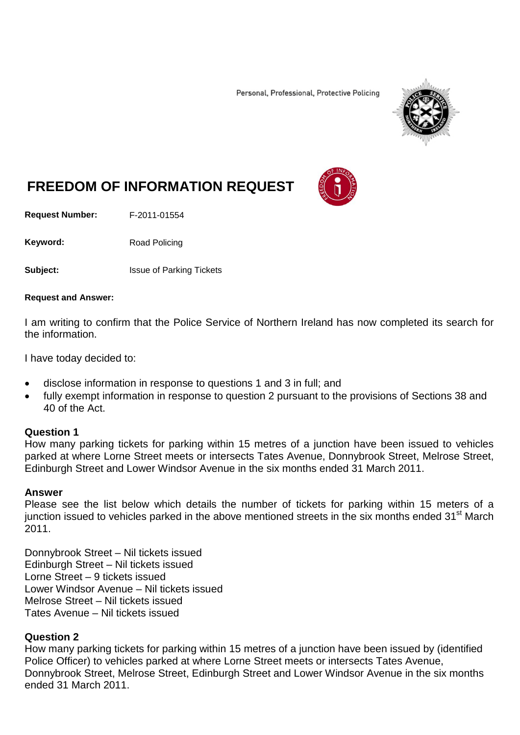Personal, Professional, Protective Policing



# **FREEDOM OF INFORMATION REQUEST**

**Request Number:** F-2011-01554

Keyword: Road Policing

**Subject:** Issue of Parking Tickets

#### **Request and Answer:**

I am writing to confirm that the Police Service of Northern Ireland has now completed its search for the information.

I have today decided to:

- disclose information in response to questions 1 and 3 in full; and
- fully exempt information in response to question 2 pursuant to the provisions of Sections 38 and 40 of the Act.

### **Question 1**

How many parking tickets for parking within 15 metres of a junction have been issued to vehicles parked at where Lorne Street meets or intersects Tates Avenue, Donnybrook Street, Melrose Street, Edinburgh Street and Lower Windsor Avenue in the six months ended 31 March 2011.

### **Answer**

Please see the list below which details the number of tickets for parking within 15 meters of a junction issued to vehicles parked in the above mentioned streets in the six months ended 31<sup>st</sup> March 2011.

Donnybrook Street – Nil tickets issued Edinburgh Street – Nil tickets issued Lorne Street – 9 tickets issued Lower Windsor Avenue – Nil tickets issued Melrose Street – Nil tickets issued Tates Avenue – Nil tickets issued

# **Question 2**

How many parking tickets for parking within 15 metres of a junction have been issued by (identified Police Officer) to vehicles parked at where Lorne Street meets or intersects Tates Avenue, Donnybrook Street, Melrose Street, Edinburgh Street and Lower Windsor Avenue in the six months ended 31 March 2011.